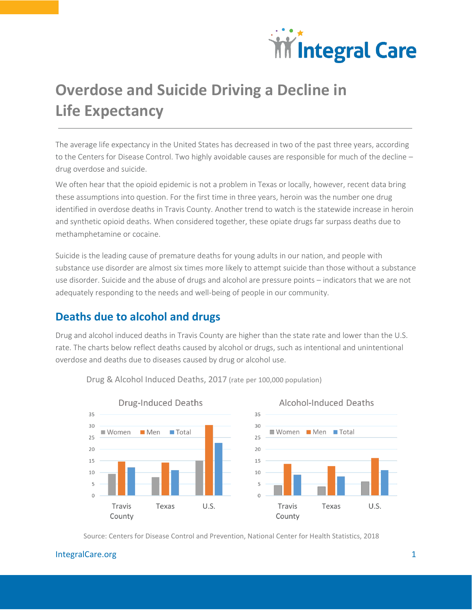

# **Overdose and Suicide Driving a Decline in Life Expectancy**

The average life expectancy in the United States has decreased in two of the past three years, according to the Centers for Disease Control. Two highly avoidable causes are responsible for much of the decline – drug overdose and suicide.

We often hear that the opioid epidemic is not a problem in Texas or locally, however, recent data bring these assumptions into question. For the first time in three years, heroin was the number one drug identified in overdose deaths in Travis County. Another trend to watch is the statewide increase in heroin and synthetic opioid deaths. When considered together, these opiate drugs far surpass deaths due to methamphetamine or cocaine.

Suicide is the leading cause of premature deaths for young adults in our nation, and people with substance use disorder are almost six times more likely to attempt suicide than those without a substance use disorder. Suicide and the abuse of drugs and alcohol are pressure points – indicators that we are not adequately responding to the needs and well-being of people in our community.

## **Deaths due to alcohol and drugs**

Drug and alcohol induced deaths in Travis County are higher than the state rate and lower than the U.S. rate. The charts below reflect deaths caused by alcohol or drugs, such as intentional and unintentional overdose and deaths due to diseases caused by drug or alcohol use.



Drug & Alcohol Induced Deaths, 2017 (rate per 100,000 population)

Source: Centers for Disease Control and Prevention, National Center for Health Statistics, 2018

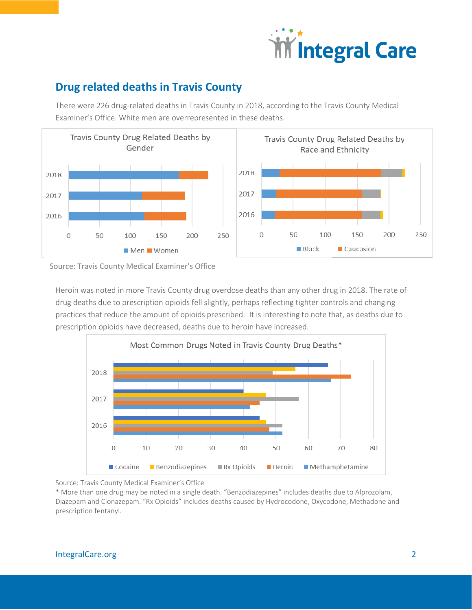

# **Drug related deaths in Travis County**

There were 226 drug-related deaths in Travis County in 2018, according to the Travis County Medical Examiner's Office. White men are overrepresented in these deaths.



Source: Travis County Medical Examiner's Office

Heroin was noted in more Travis County drug overdose deaths than any other drug in 2018. The rate of drug deaths due to prescription opioids fell slightly, perhaps reflecting tighter controls and changing practices that reduce the amount of opioids prescribed. It is interesting to note that, as deaths due to prescription opioids have decreased, deaths due to heroin have increased.



Source: Travis County Medical Examiner's Office

\* More than one drug may be noted in a single death. "Benzodiazepines" includes deaths due to Alprozolam, Diazepam and Clonazepam. "Rx Opioids" includes deaths caused by Hydrocodone, Oxycodone, Methadone and prescription fentanyl.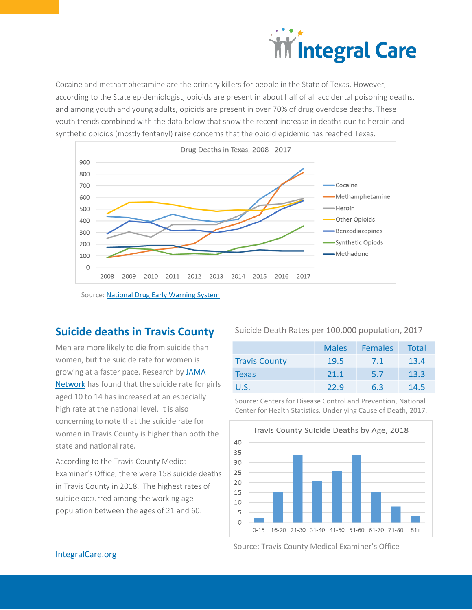

Cocaine and methamphetamine are the primary killers for people in the State of Texas. However, according to the State epidemiologist, opioids are present in about half of all accidental poisoning deaths, and among youth and young adults, opioids are present in over 70% of drug overdose deaths. These youth trends combined with the data below that show the recent increase in deaths due to heroin and synthetic opioids (mostly fentanyl) raise concerns that the opioid epidemic has reached Texas.



Source: [National Drug Early Warning System](https://ndews.umd.edu/sites/ndews.umd.edu/files/SCS-Report-2018-Texas-FINAL.pdf)

#### **Suicide deaths in Travis County**

Men are more likely to die from suicide than women, but the suicide rate for women is growing at a faster pace. Research by [JAMA](https://jamanetwork.com/journals/jamanetworkopen/fullarticle/2733430?utm_source=For_The_Media&utm_medium=referral&utm_campaign=ftm_links&utm_term=051719) [Network](https://jamanetwork.com/journals/jamanetworkopen/fullarticle/2733430?utm_source=For_The_Media&utm_medium=referral&utm_campaign=ftm_links&utm_term=051719) has found that the suicide rate for girls aged 10 to 14 has increased at an especially high rate at the national level. It is also concerning to note that the suicide rate for women in Travis County is higher than both the state and national rate**.**

According to the Travis County Medical Examiner's Office, there were 158 suicide deaths in Travis County in 2018. The highest rates of suicide occurred among the working age population between the ages of 21 and 60.

Suicide Death Rates per 100,000 population, 2017

|                      | <b>Males</b> | <b>Females</b> | Total |
|----------------------|--------------|----------------|-------|
| <b>Travis County</b> | 19.5         | 7.1            | 13.4  |
| <b>Texas</b>         | 21.1         | 5.7            | 13.3  |
| U.S.                 | 22.9         | 6.3            | 14.5  |

Source: Centers for Disease Control and Prevention, National Center for Health Statistics. Underlying Cause of Death, 2017.



Source: Travis County Medical Examiner's Office